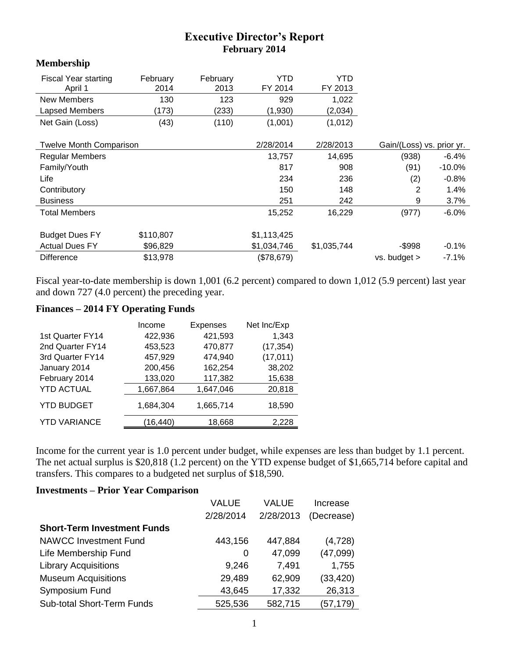## **Executive Director's Report February 2014**

## **Membership**

| <b>Fiscal Year starting</b><br>April 1 | February<br>2014 | February<br>2013 | YTD<br>FY 2014 | YTD<br>FY 2013 |                           |           |
|----------------------------------------|------------------|------------------|----------------|----------------|---------------------------|-----------|
| <b>New Members</b>                     | 130              | 123              | 929            | 1,022          |                           |           |
| Lapsed Members                         | (173)            | (233)            | (1,930)        | (2,034)        |                           |           |
| Net Gain (Loss)                        | (43)             | (110)            | (1,001)        | (1,012)        |                           |           |
|                                        |                  |                  |                |                |                           |           |
| <b>Twelve Month Comparison</b>         |                  |                  | 2/28/2014      | 2/28/2013      | Gain/(Loss) vs. prior yr. |           |
| <b>Regular Members</b>                 |                  |                  | 13,757         | 14,695         | (938)                     | $-6.4%$   |
| Family/Youth                           |                  |                  | 817            | 908            | (91)                      | $-10.0\%$ |
| Life                                   |                  |                  | 234            | 236            | (2)                       | $-0.8%$   |
| Contributory                           |                  |                  | 150            | 148            | 2                         | 1.4%      |
| <b>Business</b>                        |                  |                  | 251            | 242            | 9                         | 3.7%      |
| <b>Total Members</b>                   |                  |                  | 15,252         | 16,229         | (977)                     | $-6.0%$   |
|                                        | \$110,807        |                  |                |                |                           |           |
| <b>Budget Dues FY</b>                  |                  |                  | \$1,113,425    |                |                           |           |
| <b>Actual Dues FY</b>                  | \$96,829         |                  | \$1,034,746    | \$1,035,744    | -\$998                    | $-0.1%$   |
| <b>Difference</b>                      | \$13,978         |                  | (\$78,679)     |                | $vs.$ budget $>$          | $-7.1%$   |

Fiscal year-to-date membership is down 1,001 (6.2 percent) compared to down 1,012 (5.9 percent) last year and down 727 (4.0 percent) the preceding year.

## **Finances – 2014 FY Operating Funds**

|                     | Income    | Expenses  | Net Inc/Exp |
|---------------------|-----------|-----------|-------------|
| 1st Quarter FY14    | 422,936   | 421,593   | 1,343       |
| 2nd Quarter FY14    | 453,523   | 470,877   | (17, 354)   |
| 3rd Quarter FY14    | 457,929   | 474,940   | (17, 011)   |
| January 2014        | 200,456   | 162,254   | 38,202      |
| February 2014       | 133,020   | 117,382   | 15,638      |
| <b>YTD ACTUAL</b>   | 1,667,864 | 1,647,046 | 20,818      |
| <b>YTD BUDGET</b>   | 1,684,304 | 1,665,714 | 18,590      |
| <b>YTD VARIANCE</b> | (16,440)  | 18,668    | 2,228       |
|                     |           |           |             |

Income for the current year is 1.0 percent under budget, while expenses are less than budget by 1.1 percent. The net actual surplus is \$20,818 (1.2 percent) on the YTD expense budget of \$1,665,714 before capital and transfers. This compares to a budgeted net surplus of \$18,590.

## **Investments – Prior Year Comparison**

|                                    | <b>VALUE</b> | VALUE     | Increase   |
|------------------------------------|--------------|-----------|------------|
|                                    | 2/28/2014    | 2/28/2013 | (Decrease) |
| <b>Short-Term Investment Funds</b> |              |           |            |
| <b>NAWCC Investment Fund</b>       | 443,156      | 447,884   | (4, 728)   |
| Life Membership Fund               | 0            | 47,099    | (47,099)   |
| <b>Library Acquisitions</b>        | 9,246        | 7,491     | 1,755      |
| <b>Museum Acquisitions</b>         | 29,489       | 62,909    | (33, 420)  |
| Symposium Fund                     | 43,645       | 17,332    | 26,313     |
| Sub-total Short-Term Funds         | 525,536      | 582,715   | (57, 179)  |